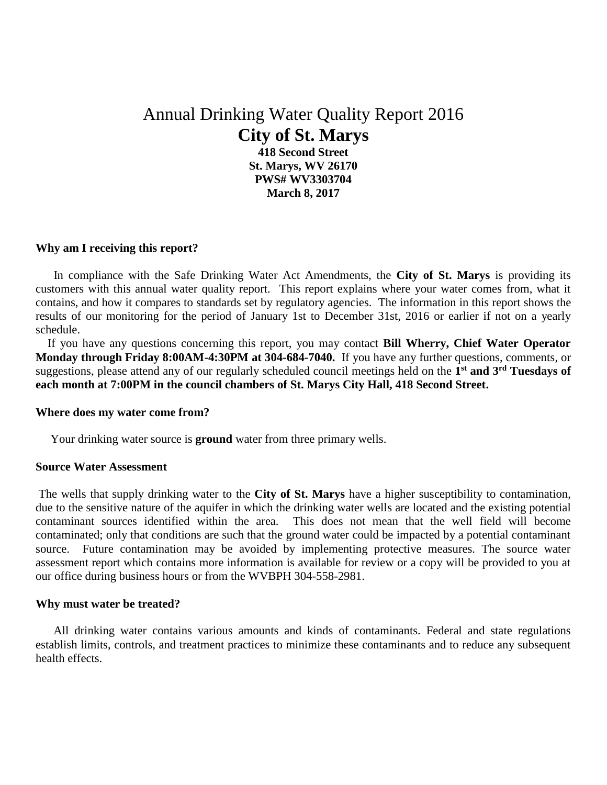# Annual Drinking Water Quality Report 2016 **City of St. Marys 418 Second Street**

**St. Marys, WV 26170 PWS# WV3303704 March 8, 2017**

# **Why am I receiving this report?**

 In compliance with the Safe Drinking Water Act Amendments, the **City of St. Marys** is providing its customers with this annual water quality report. This report explains where your water comes from, what it contains, and how it compares to standards set by regulatory agencies. The information in this report shows the results of our monitoring for the period of January 1st to December 31st, 2016 or earlier if not on a yearly schedule.

 If you have any questions concerning this report, you may contact **Bill Wherry, Chief Water Operator Monday through Friday 8:00AM-4:30PM at 304-684-7040.** If you have any further questions, comments, or suggestions, please attend any of our regularly scheduled council meetings held on the **1 st and 3rd Tuesdays of each month at 7:00PM in the council chambers of St. Marys City Hall, 418 Second Street.**

#### **Where does my water come from?**

Your drinking water source is **ground** water from three primary wells.

#### **Source Water Assessment**

The wells that supply drinking water to the **City of St. Marys** have a higher susceptibility to contamination, due to the sensitive nature of the aquifer in which the drinking water wells are located and the existing potential contaminant sources identified within the area. This does not mean that the well field will become contaminated; only that conditions are such that the ground water could be impacted by a potential contaminant source. Future contamination may be avoided by implementing protective measures. The source water assessment report which contains more information is available for review or a copy will be provided to you at our office during business hours or from the WVBPH 304-558-2981.

#### **Why must water be treated?**

 All drinking water contains various amounts and kinds of contaminants. Federal and state regulations establish limits, controls, and treatment practices to minimize these contaminants and to reduce any subsequent health effects.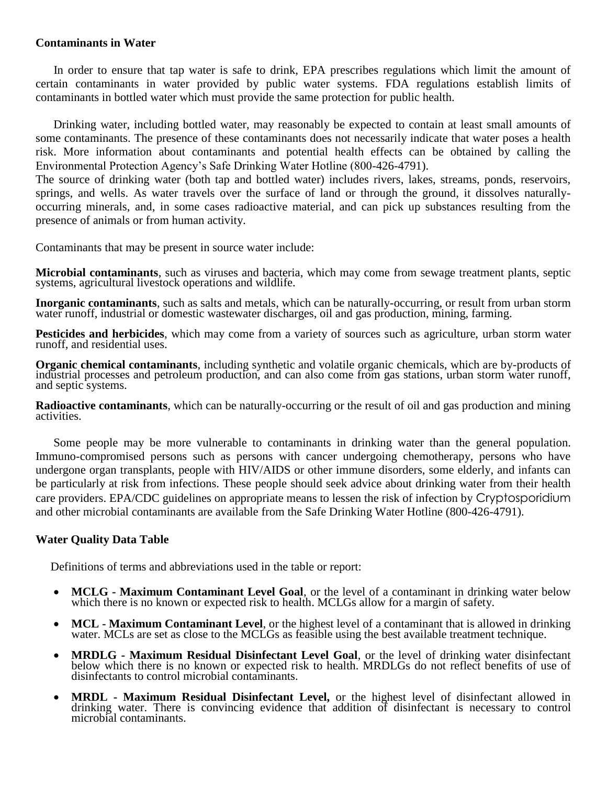### **Contaminants in Water**

 In order to ensure that tap water is safe to drink, EPA prescribes regulations which limit the amount of certain contaminants in water provided by public water systems. FDA regulations establish limits of contaminants in bottled water which must provide the same protection for public health.

 Drinking water, including bottled water, may reasonably be expected to contain at least small amounts of some contaminants. The presence of these contaminants does not necessarily indicate that water poses a health risk. More information about contaminants and potential health effects can be obtained by calling the Environmental Protection Agency's Safe Drinking Water Hotline (800-426-4791).

The source of drinking water (both tap and bottled water) includes rivers, lakes, streams, ponds, reservoirs, springs, and wells. As water travels over the surface of land or through the ground, it dissolves naturallyoccurring minerals, and, in some cases radioactive material, and can pick up substances resulting from the presence of animals or from human activity.

Contaminants that may be present in source water include:

**Microbial contaminants**, such as viruses and bacteria, which may come from sewage treatment plants, septic systems, agricultural livestock operations and wildlife.

**Inorganic contaminants**, such as salts and metals, which can be naturally-occurring, or result from urban storm water runoff, industrial or domestic wastewater discharges, oil and gas production, mining, farming.

**Pesticides and herbicides**, which may come from a variety of sources such as agriculture, urban storm water runoff, and residential uses.

**Organic chemical contaminants**, including synthetic and volatile organic chemicals, which are by-products of industrial processes and petroleum production, and can also come from gas stations, urban storm water runoff, and septic systems.

**Radioactive contaminants**, which can be naturally-occurring or the result of oil and gas production and mining activities.

 Some people may be more vulnerable to contaminants in drinking water than the general population. Immuno-compromised persons such as persons with cancer undergoing chemotherapy, persons who have undergone organ transplants, people with HIV/AIDS or other immune disorders, some elderly, and infants can be particularly at risk from infections. These people should seek advice about drinking water from their health care providers. EPA/CDC guidelines on appropriate means to lessen the risk of infection by Cryptosporidium and other microbial contaminants are available from the Safe Drinking Water Hotline (800-426-4791).

## **Water Quality Data Table**

Definitions of terms and abbreviations used in the table or report:

- **MCLG - Maximum Contaminant Level Goal**, or the level of a contaminant in drinking water below which there is no known or expected risk to health. MCLGs allow for a margin of safety.
- **MCL - Maximum Contaminant Level**, or the highest level of a contaminant that is allowed in drinking water. MCLs are set as close to the MCLGs as feasible using the best available treatment technique.
- **MRDLG - Maximum Residual Disinfectant Level Goal**, or the level of drinking water disinfectant below which there is no known or expected risk to health. MRDLGs do not reflect benefits of use of disinfectants to control microbial contaminants.
- **MRDL - Maximum Residual Disinfectant Level,** or the highest level of disinfectant allowed in drinking water. There is convincing evidence that addition of disinfectant is necessary to control microbial contaminants.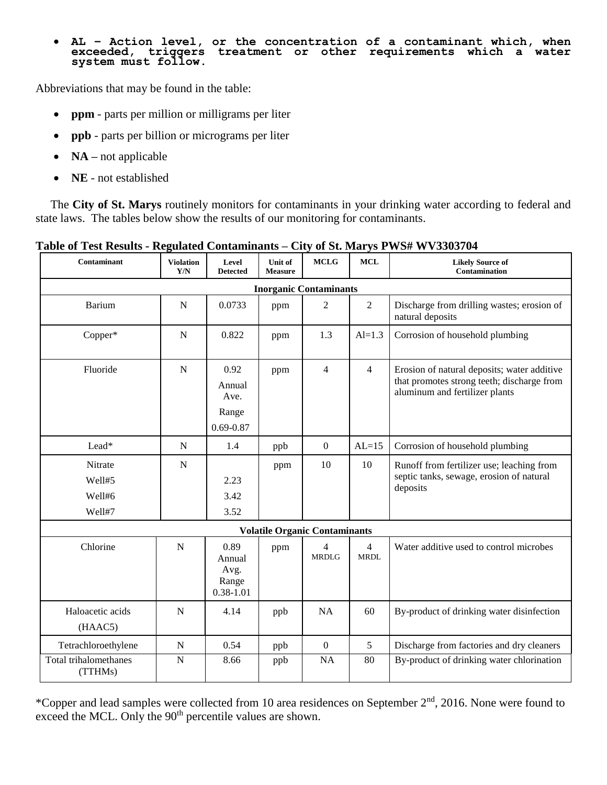#### • **AL – Action level, or the concentration of a contaminant which, when exceeded, triggers treatment or other requirements which a water system must follow.**

Abbreviations that may be found in the table:

- **ppm**  parts per million or milligrams per liter
- **ppb** parts per billion or micrograms per liter
- **NA** not applicable
- **NE**  not established

 The **City of St. Marys** routinely monitors for contaminants in your drinking water according to federal and state laws. The tables below show the results of our monitoring for contaminants.

| Contaminant                           | <b>Violation</b><br>Y/N | Level<br><b>Detected</b>                         | Unit of<br><b>Measure</b> | <b>MCLG</b>                          | <b>MCL</b>                    | <b>Likely Source of</b><br><b>Contamination</b>                                                                             |  |  |  |  |  |
|---------------------------------------|-------------------------|--------------------------------------------------|---------------------------|--------------------------------------|-------------------------------|-----------------------------------------------------------------------------------------------------------------------------|--|--|--|--|--|
| <b>Inorganic Contaminants</b>         |                         |                                                  |                           |                                      |                               |                                                                                                                             |  |  |  |  |  |
| Barium                                | ${\bf N}$               | 0.0733                                           | ppm                       | $\overline{2}$                       | $\overline{2}$                | Discharge from drilling wastes; erosion of<br>natural deposits                                                              |  |  |  |  |  |
| Copper*                               | ${\bf N}$               | 0.822                                            | ppm                       | 1.3                                  | $Al=1.3$                      | Corrosion of household plumbing                                                                                             |  |  |  |  |  |
| Fluoride                              | ${\bf N}$               | 0.92<br>Annual<br>Ave.<br>Range<br>$0.69 - 0.87$ | ppm                       | $\overline{4}$                       | $\overline{4}$                | Erosion of natural deposits; water additive<br>that promotes strong teeth; discharge from<br>aluminum and fertilizer plants |  |  |  |  |  |
| Lead*                                 | ${\bf N}$               | 1.4                                              | ppb                       | $\boldsymbol{0}$                     | $AL=15$                       | Corrosion of household plumbing                                                                                             |  |  |  |  |  |
| Nitrate<br>Well#5<br>Well#6<br>Well#7 | ${\bf N}$               | 2.23<br>3.42<br>3.52                             | ppm                       | 10                                   | 10                            | Runoff from fertilizer use; leaching from<br>septic tanks, sewage, erosion of natural<br>deposits                           |  |  |  |  |  |
|                                       |                         |                                                  |                           | <b>Volatile Organic Contaminants</b> |                               |                                                                                                                             |  |  |  |  |  |
| Chlorine                              | $\mathbf N$             | 0.89<br>Annual<br>Avg.<br>Range<br>$0.38 - 1.01$ | ppm                       | $\overline{4}$<br><b>MRDLG</b>       | $\overline{4}$<br><b>MRDL</b> | Water additive used to control microbes                                                                                     |  |  |  |  |  |
| Haloacetic acids<br>(HAAC5)           | $\mathbf N$             | 4.14                                             | ppb                       | <b>NA</b>                            | 60                            | By-product of drinking water disinfection                                                                                   |  |  |  |  |  |
| Tetrachloroethylene                   | $\mathbf N$             | 0.54                                             | ppb                       | $\mathbf{0}$                         | 5                             | Discharge from factories and dry cleaners                                                                                   |  |  |  |  |  |
| Total trihalomethanes<br>(TTHMs)      | $\mathbf N$             | 8.66                                             | ppb                       | NA                                   | 80                            | By-product of drinking water chlorination                                                                                   |  |  |  |  |  |

## **Table of Test Results - Regulated Contaminants** *–* **City of St. Marys PWS# WV3303704**

\*Copper and lead samples were collected from 10 area residences on September  $2<sup>nd</sup>$ , 2016. None were found to exceed the MCL. Only the  $90<sup>th</sup>$  percentile values are shown.